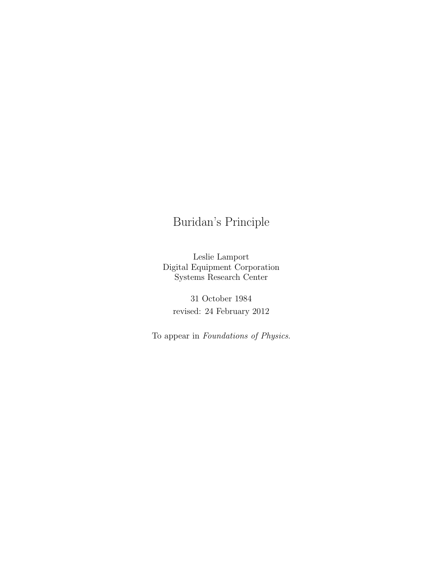# Buridan's Principle

Leslie Lamport Digital Equipment Corporation Systems Research Center

31 October 1984 revised: 24 February 2012

To appear in Foundations of Physics.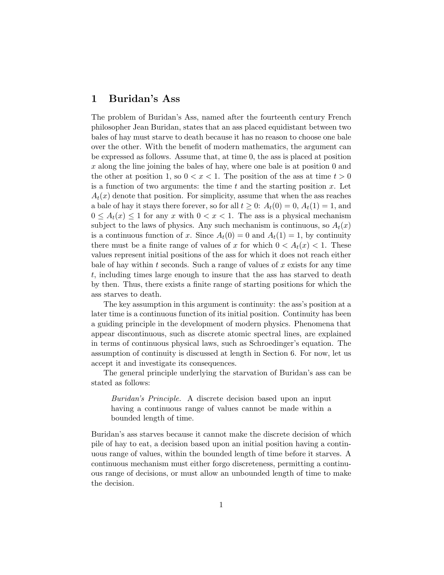## 1 Buridan's Ass

The problem of Buridan's Ass, named after the fourteenth century French philosopher Jean Buridan, states that an ass placed equidistant between two bales of hay must starve to death because it has no reason to choose one bale over the other. With the benefit of modern mathematics, the argument can be expressed as follows. Assume that, at time 0, the ass is placed at position x along the line joining the bales of hay, where one bale is at position 0 and the other at position 1, so  $0 < x < 1$ . The position of the ass at time  $t > 0$ is a function of two arguments: the time  $t$  and the starting position  $x$ . Let  $A_t(x)$  denote that position. For simplicity, assume that when the ass reaches a bale of hay it stays there forever, so for all  $t \geq 0$ :  $A_t(0) = 0$ ,  $A_t(1) = 1$ , and  $0 \leq A_t(x) \leq 1$  for any x with  $0 < x < 1$ . The ass is a physical mechanism subject to the laws of physics. Any such mechanism is continuous, so  $A_t(x)$ is a continuous function of x. Since  $A_t(0) = 0$  and  $A_t(1) = 1$ , by continuity there must be a finite range of values of x for which  $0 < A_t(x) < 1$ . These values represent initial positions of the ass for which it does not reach either bale of hay within t seconds. Such a range of values of x exists for any time t, including times large enough to insure that the ass has starved to death by then. Thus, there exists a finite range of starting positions for which the ass starves to death.

The key assumption in this argument is continuity: the ass's position at a later time is a continuous function of its initial position. Continuity has been a guiding principle in the development of modern physics. Phenomena that appear discontinuous, such as discrete atomic spectral lines, are explained in terms of continuous physical laws, such as Schroedinger's equation. The assumption of continuity is discussed at length in Section 6. For now, let us accept it and investigate its consequences.

The general principle underlying the starvation of Buridan's ass can be stated as follows:

Buridan's Principle. A discrete decision based upon an input having a continuous range of values cannot be made within a bounded length of time.

Buridan's ass starves because it cannot make the discrete decision of which pile of hay to eat, a decision based upon an initial position having a continuous range of values, within the bounded length of time before it starves. A continuous mechanism must either forgo discreteness, permitting a continuous range of decisions, or must allow an unbounded length of time to make the decision.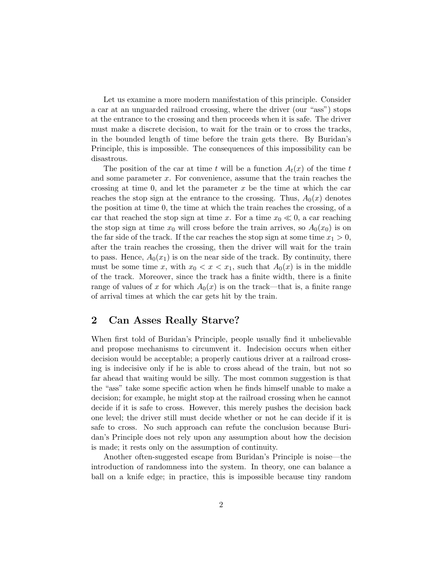Let us examine a more modern manifestation of this principle. Consider a car at an unguarded railroad crossing, where the driver (our "ass") stops at the entrance to the crossing and then proceeds when it is safe. The driver must make a discrete decision, to wait for the train or to cross the tracks, in the bounded length of time before the train gets there. By Buridan's Principle, this is impossible. The consequences of this impossibility can be disastrous.

The position of the car at time t will be a function  $A_t(x)$  of the time t and some parameter x. For convenience, assume that the train reaches the crossing at time 0, and let the parameter  $x$  be the time at which the car reaches the stop sign at the entrance to the crossing. Thus,  $A_0(x)$  denotes the position at time 0, the time at which the train reaches the crossing, of a car that reached the stop sign at time x. For a time  $x_0 \ll 0$ , a car reaching the stop sign at time  $x_0$  will cross before the train arrives, so  $A_0(x_0)$  is on the far side of the track. If the car reaches the stop sign at some time  $x_1 > 0$ , after the train reaches the crossing, then the driver will wait for the train to pass. Hence,  $A_0(x_1)$  is on the near side of the track. By continuity, there must be some time x, with  $x_0 < x < x_1$ , such that  $A_0(x)$  is in the middle of the track. Moreover, since the track has a finite width, there is a finite range of values of x for which  $A_0(x)$  is on the track—that is, a finite range of arrival times at which the car gets hit by the train.

## 2 Can Asses Really Starve?

When first told of Buridan's Principle, people usually find it unbelievable and propose mechanisms to circumvent it. Indecision occurs when either decision would be acceptable; a properly cautious driver at a railroad crossing is indecisive only if he is able to cross ahead of the train, but not so far ahead that waiting would be silly. The most common suggestion is that the "ass" take some specific action when he finds himself unable to make a decision; for example, he might stop at the railroad crossing when he cannot decide if it is safe to cross. However, this merely pushes the decision back one level; the driver still must decide whether or not he can decide if it is safe to cross. No such approach can refute the conclusion because Buridan's Principle does not rely upon any assumption about how the decision is made; it rests only on the assumption of continuity.

Another often-suggested escape from Buridan's Principle is noise—the introduction of randomness into the system. In theory, one can balance a ball on a knife edge; in practice, this is impossible because tiny random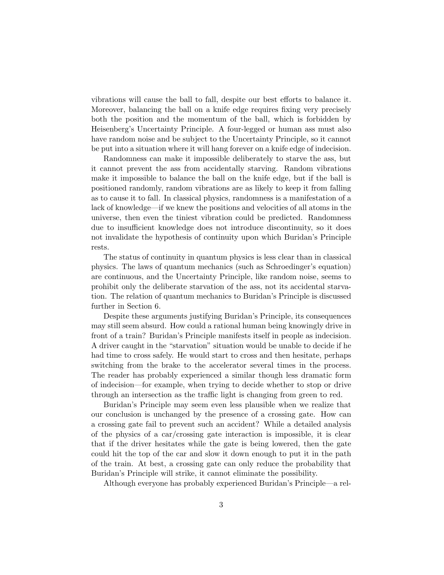vibrations will cause the ball to fall, despite our best efforts to balance it. Moreover, balancing the ball on a knife edge requires fixing very precisely both the position and the momentum of the ball, which is forbidden by Heisenberg's Uncertainty Principle. A four-legged or human ass must also have random noise and be subject to the Uncertainty Principle, so it cannot be put into a situation where it will hang forever on a knife edge of indecision.

Randomness can make it impossible deliberately to starve the ass, but it cannot prevent the ass from accidentally starving. Random vibrations make it impossible to balance the ball on the knife edge, but if the ball is positioned randomly, random vibrations are as likely to keep it from falling as to cause it to fall. In classical physics, randomness is a manifestation of a lack of knowledge—if we knew the positions and velocities of all atoms in the universe, then even the tiniest vibration could be predicted. Randomness due to insufficient knowledge does not introduce discontinuity, so it does not invalidate the hypothesis of continuity upon which Buridan's Principle rests.

The status of continuity in quantum physics is less clear than in classical physics. The laws of quantum mechanics (such as Schroedinger's equation) are continuous, and the Uncertainty Principle, like random noise, seems to prohibit only the deliberate starvation of the ass, not its accidental starvation. The relation of quantum mechanics to Buridan's Principle is discussed further in Section 6.

Despite these arguments justifying Buridan's Principle, its consequences may still seem absurd. How could a rational human being knowingly drive in front of a train? Buridan's Principle manifests itself in people as indecision. A driver caught in the "starvation" situation would be unable to decide if he had time to cross safely. He would start to cross and then hesitate, perhaps switching from the brake to the accelerator several times in the process. The reader has probably experienced a similar though less dramatic form of indecision—for example, when trying to decide whether to stop or drive through an intersection as the traffic light is changing from green to red.

Buridan's Principle may seem even less plausible when we realize that our conclusion is unchanged by the presence of a crossing gate. How can a crossing gate fail to prevent such an accident? While a detailed analysis of the physics of a car/crossing gate interaction is impossible, it is clear that if the driver hesitates while the gate is being lowered, then the gate could hit the top of the car and slow it down enough to put it in the path of the train. At best, a crossing gate can only reduce the probability that Buridan's Principle will strike, it cannot eliminate the possibility.

Although everyone has probably experienced Buridan's Principle—a rel-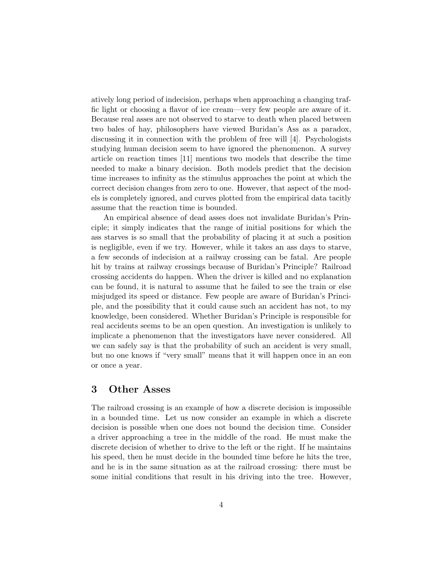atively long period of indecision, perhaps when approaching a changing traffic light or choosing a flavor of ice cream—very few people are aware of it. Because real asses are not observed to starve to death when placed between two bales of hay, philosophers have viewed Buridan's Ass as a paradox, discussing it in connection with the problem of free will [4]. Psychologists studying human decision seem to have ignored the phenomenon. A survey article on reaction times [11] mentions two models that describe the time needed to make a binary decision. Both models predict that the decision time increases to infinity as the stimulus approaches the point at which the correct decision changes from zero to one. However, that aspect of the models is completely ignored, and curves plotted from the empirical data tacitly assume that the reaction time is bounded.

An empirical absence of dead asses does not invalidate Buridan's Principle; it simply indicates that the range of initial positions for which the ass starves is so small that the probability of placing it at such a position is negligible, even if we try. However, while it takes an ass days to starve, a few seconds of indecision at a railway crossing can be fatal. Are people hit by trains at railway crossings because of Buridan's Principle? Railroad crossing accidents do happen. When the driver is killed and no explanation can be found, it is natural to assume that he failed to see the train or else misjudged its speed or distance. Few people are aware of Buridan's Principle, and the possibility that it could cause such an accident has not, to my knowledge, been considered. Whether Buridan's Principle is responsible for real accidents seems to be an open question. An investigation is unlikely to implicate a phenomenon that the investigators have never considered. All we can safely say is that the probability of such an accident is very small, but no one knows if "very small" means that it will happen once in an eon or once a year.

## 3 Other Asses

The railroad crossing is an example of how a discrete decision is impossible in a bounded time. Let us now consider an example in which a discrete decision is possible when one does not bound the decision time. Consider a driver approaching a tree in the middle of the road. He must make the discrete decision of whether to drive to the left or the right. If he maintains his speed, then he must decide in the bounded time before he hits the tree, and he is in the same situation as at the railroad crossing: there must be some initial conditions that result in his driving into the tree. However,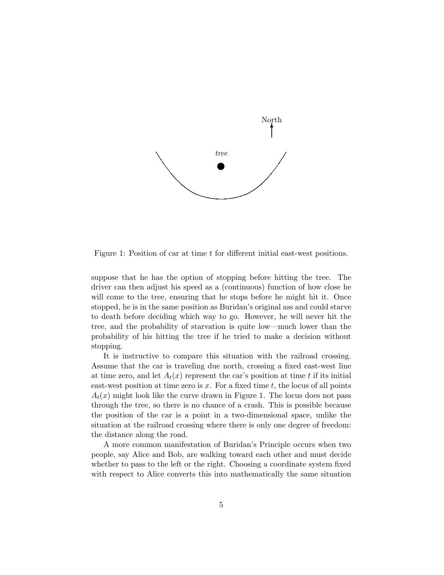

Figure 1: Position of car at time t for different initial east-west positions.

suppose that he has the option of stopping before hitting the tree. The driver can then adjust his speed as a (continuous) function of how close he will come to the tree, ensuring that he stops before he might hit it. Once stopped, he is in the same position as Buridan's original ass and could starve to death before deciding which way to go. However, he will never hit the tree, and the probability of starvation is quite low—much lower than the probability of his hitting the tree if he tried to make a decision without stopping.

It is instructive to compare this situation with the railroad crossing. Assume that the car is traveling due north, crossing a fixed east-west line at time zero, and let  $A_t(x)$  represent the car's position at time t if its initial east-west position at time zero is x. For a fixed time  $t$ , the locus of all points  $A_t(x)$  might look like the curve drawn in Figure 1. The locus does not pass through the tree, so there is no chance of a crash. This is possible because the position of the car is a point in a two-dimensional space, unlike the situation at the railroad crossing where there is only one degree of freedom: the distance along the road.

A more common manifestation of Buridan's Principle occurs when two people, say Alice and Bob, are walking toward each other and must decide whether to pass to the left or the right. Choosing a coordinate system fixed with respect to Alice converts this into mathematically the same situation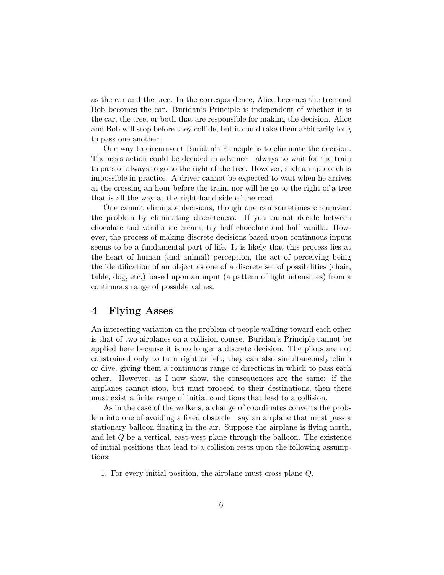as the car and the tree. In the correspondence, Alice becomes the tree and Bob becomes the car. Buridan's Principle is independent of whether it is the car, the tree, or both that are responsible for making the decision. Alice and Bob will stop before they collide, but it could take them arbitrarily long to pass one another.

One way to circumvent Buridan's Principle is to eliminate the decision. The ass's action could be decided in advance—always to wait for the train to pass or always to go to the right of the tree. However, such an approach is impossible in practice. A driver cannot be expected to wait when he arrives at the crossing an hour before the train, nor will he go to the right of a tree that is all the way at the right-hand side of the road.

One cannot eliminate decisions, though one can sometimes circumvent the problem by eliminating discreteness. If you cannot decide between chocolate and vanilla ice cream, try half chocolate and half vanilla. However, the process of making discrete decisions based upon continuous inputs seems to be a fundamental part of life. It is likely that this process lies at the heart of human (and animal) perception, the act of perceiving being the identification of an object as one of a discrete set of possibilities (chair, table, dog, etc.) based upon an input (a pattern of light intensities) from a continuous range of possible values.

### 4 Flying Asses

An interesting variation on the problem of people walking toward each other is that of two airplanes on a collision course. Buridan's Principle cannot be applied here because it is no longer a discrete decision. The pilots are not constrained only to turn right or left; they can also simultaneously climb or dive, giving them a continuous range of directions in which to pass each other. However, as I now show, the consequences are the same: if the airplanes cannot stop, but must proceed to their destinations, then there must exist a finite range of initial conditions that lead to a collision.

As in the case of the walkers, a change of coordinates converts the problem into one of avoiding a fixed obstacle—say an airplane that must pass a stationary balloon floating in the air. Suppose the airplane is flying north, and let Q be a vertical, east-west plane through the balloon. The existence of initial positions that lead to a collision rests upon the following assumptions:

1. For every initial position, the airplane must cross plane Q.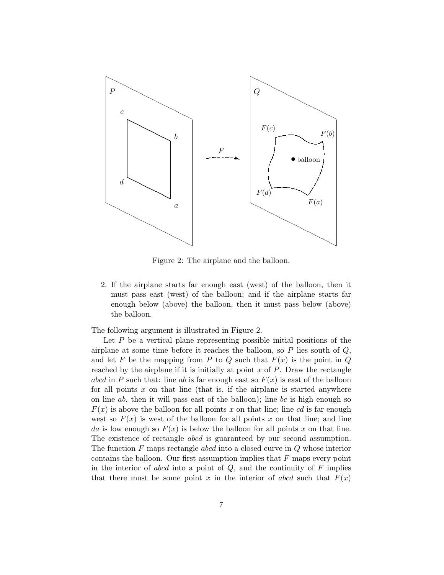

Figure 2: The airplane and the balloon.

2. If the airplane starts far enough east (west) of the balloon, then it must pass east (west) of the balloon; and if the airplane starts far enough below (above) the balloon, then it must pass below (above) the balloon.

The following argument is illustrated in Figure 2.

Let  $P$  be a vertical plane representing possible initial positions of the airplane at some time before it reaches the balloon, so  $P$  lies south of  $Q$ , and let F be the mapping from P to Q such that  $F(x)$  is the point in Q reached by the airplane if it is initially at point  $x$  of  $P$ . Draw the rectangle abcd in P such that: line ab is far enough east so  $F(x)$  is east of the balloon for all points  $x$  on that line (that is, if the airplane is started anywhere on line  $ab$ , then it will pass east of the balloon); line  $bc$  is high enough so  $F(x)$  is above the balloon for all points x on that line; line cd is far enough west so  $F(x)$  is west of the balloon for all points x on that line; and line da is low enough so  $F(x)$  is below the balloon for all points x on that line. The existence of rectangle *abcd* is guaranteed by our second assumption. The function F maps rectangle abcd into a closed curve in Q whose interior contains the balloon. Our first assumption implies that  $F$  maps every point in the interior of abcd into a point of  $Q$ , and the continuity of  $F$  implies that there must be some point x in the interior of abcd such that  $F(x)$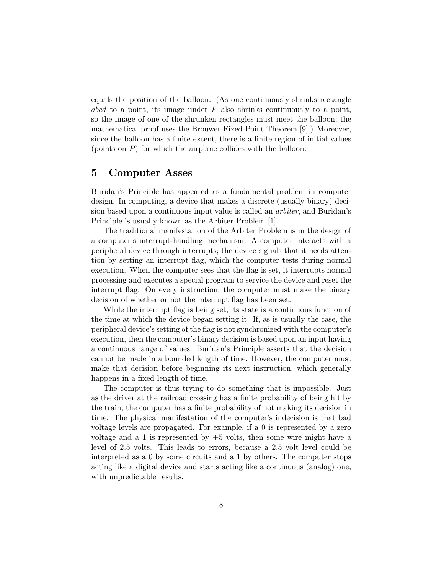equals the position of the balloon. (As one continuously shrinks rectangle abcd to a point, its image under  $F$  also shrinks continuously to a point, so the image of one of the shrunken rectangles must meet the balloon; the mathematical proof uses the Brouwer Fixed-Point Theorem [9].) Moreover, since the balloon has a finite extent, there is a finite region of initial values (points on P) for which the airplane collides with the balloon.

#### 5 Computer Asses

Buridan's Principle has appeared as a fundamental problem in computer design. In computing, a device that makes a discrete (usually binary) decision based upon a continuous input value is called an arbiter, and Buridan's Principle is usually known as the Arbiter Problem [1].

The traditional manifestation of the Arbiter Problem is in the design of a computer's interrupt-handling mechanism. A computer interacts with a peripheral device through interrupts; the device signals that it needs attention by setting an interrupt flag, which the computer tests during normal execution. When the computer sees that the flag is set, it interrupts normal processing and executes a special program to service the device and reset the interrupt flag. On every instruction, the computer must make the binary decision of whether or not the interrupt flag has been set.

While the interrupt flag is being set, its state is a continuous function of the time at which the device began setting it. If, as is usually the case, the peripheral device's setting of the flag is not synchronized with the computer's execution, then the computer's binary decision is based upon an input having a continuous range of values. Buridan's Principle asserts that the decision cannot be made in a bounded length of time. However, the computer must make that decision before beginning its next instruction, which generally happens in a fixed length of time.

The computer is thus trying to do something that is impossible. Just as the driver at the railroad crossing has a finite probability of being hit by the train, the computer has a finite probability of not making its decision in time. The physical manifestation of the computer's indecision is that bad voltage levels are propagated. For example, if a 0 is represented by a zero voltage and a 1 is represented by  $+5$  volts, then some wire might have a level of 2.5 volts. This leads to errors, because a 2.5 volt level could be interpreted as a 0 by some circuits and a 1 by others. The computer stops acting like a digital device and starts acting like a continuous (analog) one, with unpredictable results.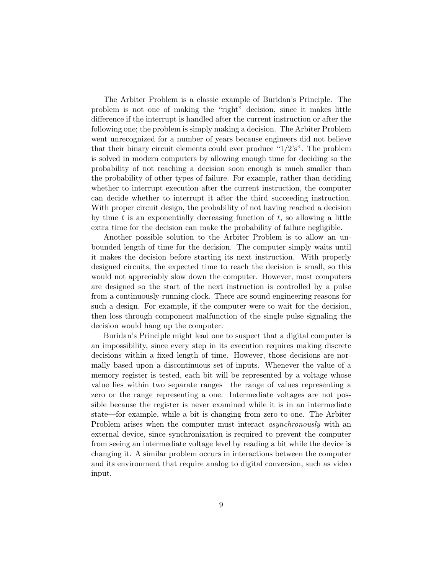The Arbiter Problem is a classic example of Buridan's Principle. The problem is not one of making the "right" decision, since it makes little difference if the interrupt is handled after the current instruction or after the following one; the problem is simply making a decision. The Arbiter Problem went unrecognized for a number of years because engineers did not believe that their binary circuit elements could ever produce " $1/2$ 's". The problem is solved in modern computers by allowing enough time for deciding so the probability of not reaching a decision soon enough is much smaller than the probability of other types of failure. For example, rather than deciding whether to interrupt execution after the current instruction, the computer can decide whether to interrupt it after the third succeeding instruction. With proper circuit design, the probability of not having reached a decision by time  $t$  is an exponentially decreasing function of  $t$ , so allowing a little extra time for the decision can make the probability of failure negligible.

Another possible solution to the Arbiter Problem is to allow an unbounded length of time for the decision. The computer simply waits until it makes the decision before starting its next instruction. With properly designed circuits, the expected time to reach the decision is small, so this would not appreciably slow down the computer. However, most computers are designed so the start of the next instruction is controlled by a pulse from a continuously-running clock. There are sound engineering reasons for such a design. For example, if the computer were to wait for the decision, then loss through component malfunction of the single pulse signaling the decision would hang up the computer.

Buridan's Principle might lead one to suspect that a digital computer is an impossibility, since every step in its execution requires making discrete decisions within a fixed length of time. However, those decisions are normally based upon a discontinuous set of inputs. Whenever the value of a memory register is tested, each bit will be represented by a voltage whose value lies within two separate ranges—the range of values representing a zero or the range representing a one. Intermediate voltages are not possible because the register is never examined while it is in an intermediate state—for example, while a bit is changing from zero to one. The Arbiter Problem arises when the computer must interact *asynchronously* with an external device, since synchronization is required to prevent the computer from seeing an intermediate voltage level by reading a bit while the device is changing it. A similar problem occurs in interactions between the computer and its environment that require analog to digital conversion, such as video input.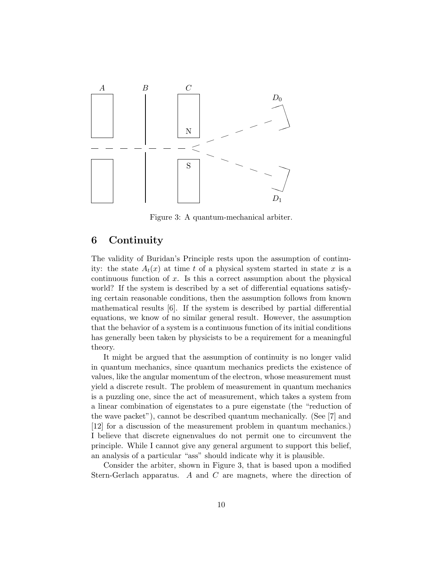

Figure 3: A quantum-mechanical arbiter.

#### 6 Continuity

The validity of Buridan's Principle rests upon the assumption of continuity: the state  $A_t(x)$  at time t of a physical system started in state x is a continuous function of  $x$ . Is this a correct assumption about the physical world? If the system is described by a set of differential equations satisfying certain reasonable conditions, then the assumption follows from known mathematical results [6]. If the system is described by partial differential equations, we know of no similar general result. However, the assumption that the behavior of a system is a continuous function of its initial conditions has generally been taken by physicists to be a requirement for a meaningful theory.

It might be argued that the assumption of continuity is no longer valid in quantum mechanics, since quantum mechanics predicts the existence of values, like the angular momentum of the electron, whose measurement must yield a discrete result. The problem of measurement in quantum mechanics is a puzzling one, since the act of measurement, which takes a system from a linear combination of eigenstates to a pure eigenstate (the "reduction of the wave packet"), cannot be described quantum mechanically. (See [7] and [12] for a discussion of the measurement problem in quantum mechanics.) I believe that discrete eignenvalues do not permit one to circumvent the principle. While I cannot give any general argument to support this belief, an analysis of a particular "ass" should indicate why it is plausible.

Consider the arbiter, shown in Figure 3, that is based upon a modified Stern-Gerlach apparatus. A and  $C$  are magnets, where the direction of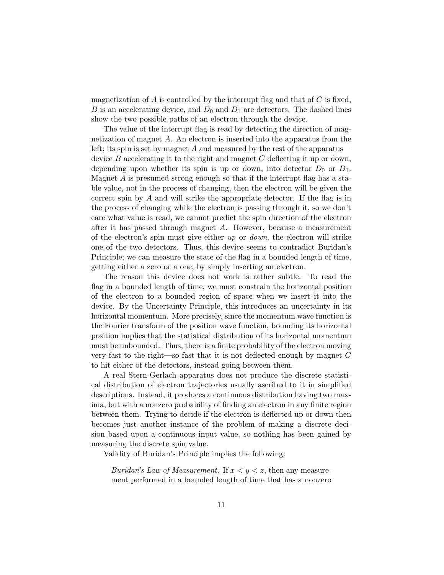magnetization of A is controlled by the interrupt flag and that of C is fixed, B is an accelerating device, and  $D_0$  and  $D_1$  are detectors. The dashed lines show the two possible paths of an electron through the device.

The value of the interrupt flag is read by detecting the direction of magnetization of magnet A. An electron is inserted into the apparatus from the left; its spin is set by magnet A and measured by the rest of the apparatus device B accelerating it to the right and magnet C deflecting it up or down, depending upon whether its spin is up or down, into detector  $D_0$  or  $D_1$ . Magnet  $A$  is presumed strong enough so that if the interrupt flag has a stable value, not in the process of changing, then the electron will be given the correct spin by  $A$  and will strike the appropriate detector. If the flag is in the process of changing while the electron is passing through it, so we don't care what value is read, we cannot predict the spin direction of the electron after it has passed through magnet A. However, because a measurement of the electron's spin must give either  $up$  or  $down$ , the electron will strike one of the two detectors. Thus, this device seems to contradict Buridan's Principle; we can measure the state of the flag in a bounded length of time, getting either a zero or a one, by simply inserting an electron.

The reason this device does not work is rather subtle. To read the flag in a bounded length of time, we must constrain the horizontal position of the electron to a bounded region of space when we insert it into the device. By the Uncertainty Principle, this introduces an uncertainty in its horizontal momentum. More precisely, since the momentum wave function is the Fourier transform of the position wave function, bounding its horizontal position implies that the statistical distribution of its horizontal momentum must be unbounded. Thus, there is a finite probability of the electron moving very fast to the right—so fast that it is not deflected enough by magnet  $C$ to hit either of the detectors, instead going between them.

A real Stern-Gerlach apparatus does not produce the discrete statistical distribution of electron trajectories usually ascribed to it in simplified descriptions. Instead, it produces a continuous distribution having two maxima, but with a nonzero probability of finding an electron in any finite region between them. Trying to decide if the electron is deflected up or down then becomes just another instance of the problem of making a discrete decision based upon a continuous input value, so nothing has been gained by measuring the discrete spin value.

Validity of Buridan's Principle implies the following:

Buridan's Law of Measurement. If  $x < y < z$ , then any measurement performed in a bounded length of time that has a nonzero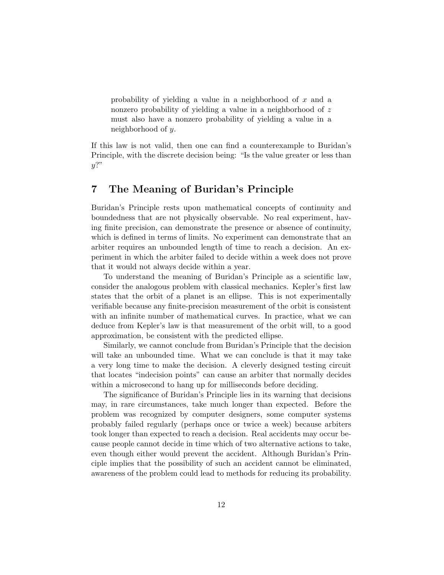probability of yielding a value in a neighborhood of x and a nonzero probability of yielding a value in a neighborhood of z must also have a nonzero probability of yielding a value in a neighborhood of y.

If this law is not valid, then one can find a counterexample to Buridan's Principle, with the discrete decision being: "Is the value greater or less than  $y$ ?"

## 7 The Meaning of Buridan's Principle

Buridan's Principle rests upon mathematical concepts of continuity and boundedness that are not physically observable. No real experiment, having finite precision, can demonstrate the presence or absence of continuity, which is defined in terms of limits. No experiment can demonstrate that an arbiter requires an unbounded length of time to reach a decision. An experiment in which the arbiter failed to decide within a week does not prove that it would not always decide within a year.

To understand the meaning of Buridan's Principle as a scientific law, consider the analogous problem with classical mechanics. Kepler's first law states that the orbit of a planet is an ellipse. This is not experimentally verifiable because any finite-precision measurement of the orbit is consistent with an infinite number of mathematical curves. In practice, what we can deduce from Kepler's law is that measurement of the orbit will, to a good approximation, be consistent with the predicted ellipse.

Similarly, we cannot conclude from Buridan's Principle that the decision will take an unbounded time. What we can conclude is that it may take a very long time to make the decision. A cleverly designed testing circuit that locates "indecision points" can cause an arbiter that normally decides within a microsecond to hang up for milliseconds before deciding.

The significance of Buridan's Principle lies in its warning that decisions may, in rare circumstances, take much longer than expected. Before the problem was recognized by computer designers, some computer systems probably failed regularly (perhaps once or twice a week) because arbiters took longer than expected to reach a decision. Real accidents may occur because people cannot decide in time which of two alternative actions to take, even though either would prevent the accident. Although Buridan's Principle implies that the possibility of such an accident cannot be eliminated, awareness of the problem could lead to methods for reducing its probability.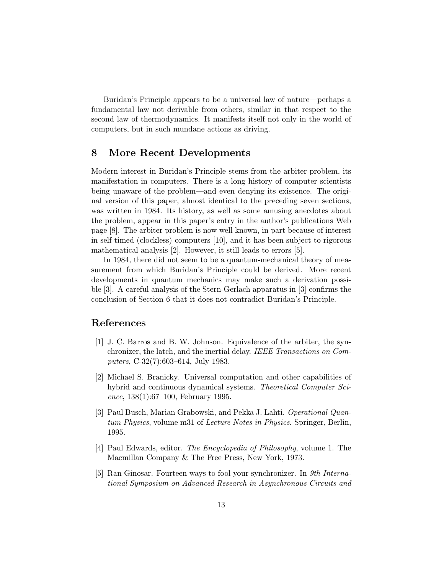Buridan's Principle appears to be a universal law of nature—perhaps a fundamental law not derivable from others, similar in that respect to the second law of thermodynamics. It manifests itself not only in the world of computers, but in such mundane actions as driving.

### 8 More Recent Developments

Modern interest in Buridan's Principle stems from the arbiter problem, its manifestation in computers. There is a long history of computer scientists being unaware of the problem—and even denying its existence. The original version of this paper, almost identical to the preceding seven sections, was written in 1984. Its history, as well as some amusing anecdotes about the problem, appear in this paper's entry in the author's publications Web page [8]. The arbiter problem is now well known, in part because of interest in self-timed (clockless) computers [10], and it has been subject to rigorous mathematical analysis [2]. However, it still leads to errors [5].

In 1984, there did not seem to be a quantum-mechanical theory of measurement from which Buridan's Principle could be derived. More recent developments in quantum mechanics may make such a derivation possible [3]. A careful analysis of the Stern-Gerlach apparatus in [3] confirms the conclusion of Section 6 that it does not contradict Buridan's Principle.

# References

- [1] J. C. Barros and B. W. Johnson. Equivalence of the arbiter, the synchronizer, the latch, and the inertial delay. IEEE Transactions on Computers, C-32(7):603–614, July 1983.
- [2] Michael S. Branicky. Universal computation and other capabilities of hybrid and continuous dynamical systems. Theoretical Computer Science, 138(1):67–100, February 1995.
- [3] Paul Busch, Marian Grabowski, and Pekka J. Lahti. Operational Quantum Physics, volume m31 of Lecture Notes in Physics. Springer, Berlin, 1995.
- [4] Paul Edwards, editor. The Encyclopedia of Philosophy, volume 1. The Macmillan Company & The Free Press, New York, 1973.
- [5] Ran Ginosar. Fourteen ways to fool your synchronizer. In 9th International Symposium on Advanced Research in Asynchronous Circuits and